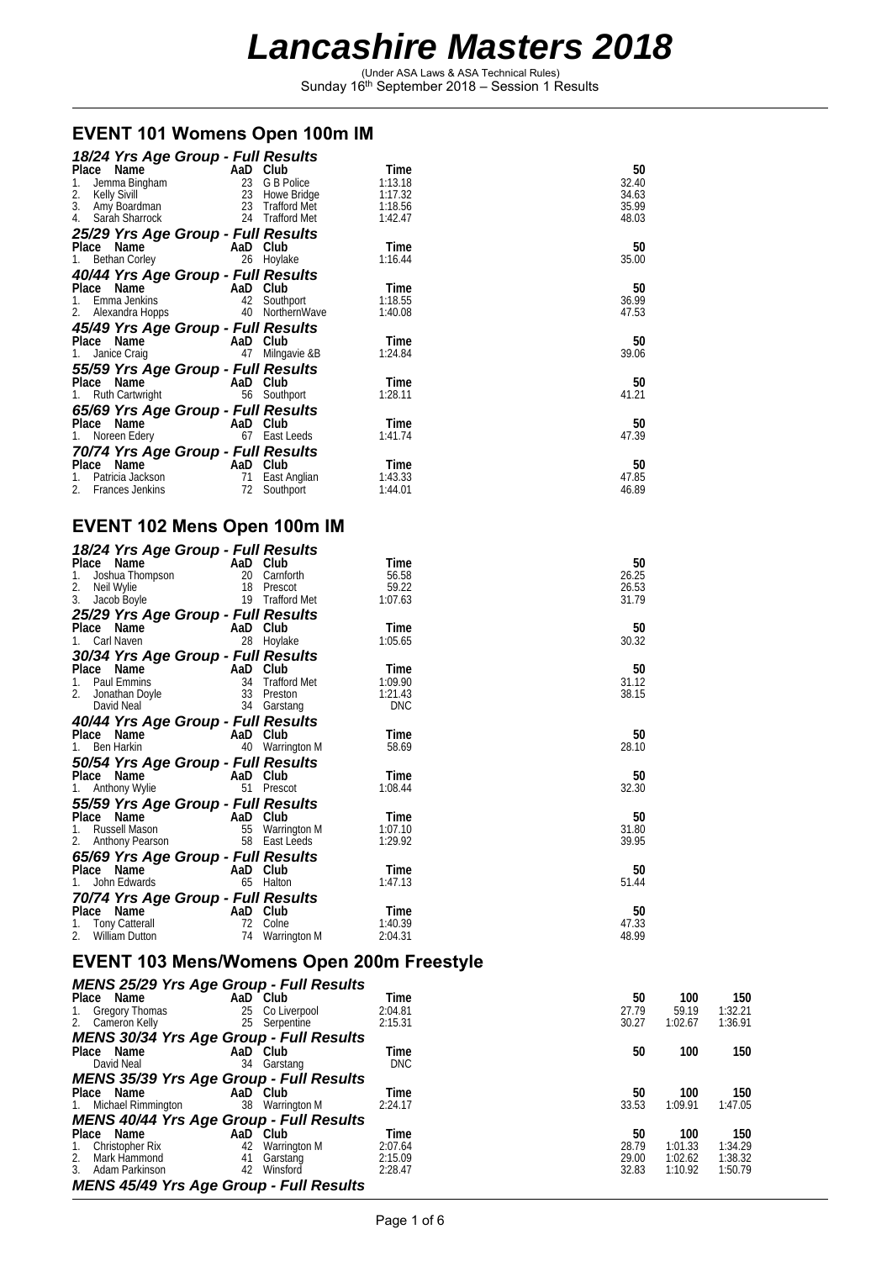(Under ASA Laws & ASA Technical Rules) Sunday 16th September 2018 – Session 1 Results

#### **EVENT 101 Womens Open 100m IM**

| 18/24 Yrs Age Group - Full Results                                                                                                                                                                                                       |                                               |                          |                    |                |
|------------------------------------------------------------------------------------------------------------------------------------------------------------------------------------------------------------------------------------------|-----------------------------------------------|--------------------------|--------------------|----------------|
| Place Name<br>1. Jemma Bingham<br>2. Kelly Sivill<br>3. Amy Boardman<br>4. Sarah Sharrock<br>1. Sarah Sharrock<br>1. Sarah Sharrock<br>2. Trafford Met                                                                                   |                                               |                          | Time               | 50             |
|                                                                                                                                                                                                                                          |                                               |                          | 1:13.18            | 32.40          |
|                                                                                                                                                                                                                                          |                                               |                          | 1:17.32            | 34.63          |
|                                                                                                                                                                                                                                          |                                               |                          | 1:18.56            | 35.99          |
|                                                                                                                                                                                                                                          |                                               |                          | 1:42.47            | 48.03          |
| 25/29 Yrs Age Group - Full Results                                                                                                                                                                                                       |                                               |                          |                    |                |
|                                                                                                                                                                                                                                          |                                               |                          | Time               | 50             |
| Place Name<br>1. Bethan Corley<br>1. Bethan Corley<br>26 Hoylake                                                                                                                                                                         |                                               |                          | 1:16.44            | 35.00          |
| 40/44 Yrs Age Group - Full Results                                                                                                                                                                                                       |                                               |                          |                    |                |
|                                                                                                                                                                                                                                          |                                               |                          | Time               | 50             |
|                                                                                                                                                                                                                                          |                                               |                          | 1:18.55            | 36.99          |
| Place Name<br>1. Emma Jenkins<br>2. Alexandra Hopps<br>2. Alexandra Hopps<br>40 NorthernWave                                                                                                                                             |                                               |                          | 1:40.08            | 47.53          |
| 45/49 Yrs Age Group - Full Results                                                                                                                                                                                                       |                                               |                          |                    |                |
| Place Name                                                                                                                                                                                                                               | AaD Club<br>47 Milngavie &B                   |                          | Time               | 50             |
| 1. Janice Craig                                                                                                                                                                                                                          |                                               |                          | 1:24.84            | 39.06          |
| 55/59 Yrs Age Group - Full Results                                                                                                                                                                                                       |                                               |                          |                    |                |
|                                                                                                                                                                                                                                          |                                               |                          | Time               | 50             |
| Place Name<br>1. Ruth Cartwright<br>1. Ruth Cartwright<br>1. Southport                                                                                                                                                                   |                                               |                          | 1:28.11            | 41.21          |
| 65/69 Yrs Age Group - Full Results                                                                                                                                                                                                       |                                               |                          |                    |                |
|                                                                                                                                                                                                                                          |                                               |                          | Time               | 50             |
| <b>Place Name Carry AaD Club</b><br>1. Noreen Edery 67 East Leeds                                                                                                                                                                        |                                               |                          | 1:41.74            | 47.39          |
| 70/74 Yrs Age Group - Full Results                                                                                                                                                                                                       |                                               |                          |                    |                |
|                                                                                                                                                                                                                                          |                                               |                          | Time               | 50             |
|                                                                                                                                                                                                                                          |                                               |                          | 1:43.33            | 47.85          |
| <b>Place Name Care And Club</b><br>1. Patricia Jackson 11 East Anglian<br>2. Frances Jenkins 12 Southport                                                                                                                                |                                               |                          | 1:44.01            | 46.89          |
|                                                                                                                                                                                                                                          |                                               |                          |                    |                |
| EVENT 102 Mens Open 100m IM                                                                                                                                                                                                              |                                               |                          |                    |                |
|                                                                                                                                                                                                                                          |                                               |                          |                    |                |
|                                                                                                                                                                                                                                          |                                               |                          |                    |                |
| 18/24 Yrs Age Group - Full Results                                                                                                                                                                                                       |                                               |                          |                    |                |
|                                                                                                                                                                                                                                          |                                               |                          | Time               | 50             |
|                                                                                                                                                                                                                                          |                                               |                          | 56.58              | 26.25          |
|                                                                                                                                                                                                                                          |                                               |                          | 59.22              | 26.53          |
| Place Name<br>1. Joshua Thompson<br>2. Neil Wylie<br>3. Jacob Boyle<br>19 Trafford Met                                                                                                                                                   |                                               |                          | 1:07.63            | 31.79          |
|                                                                                                                                                                                                                                          |                                               |                          |                    |                |
|                                                                                                                                                                                                                                          |                                               |                          | Time               | 50             |
| <b>25/29 Yrs Age Group - Full Results<br/>Place Name AaD Club<br/>1. Carl Naven 28 Hoylake</b>                                                                                                                                           |                                               |                          | 1:05.65            | 30.32          |
|                                                                                                                                                                                                                                          |                                               |                          |                    |                |
| 30/34 Yrs Age Group - Full Results                                                                                                                                                                                                       |                                               |                          | Time               | 50             |
|                                                                                                                                                                                                                                          |                                               |                          | 1:09.90            | 31.12          |
|                                                                                                                                                                                                                                          |                                               |                          | 1:21.43            | 38.15          |
| Place Name<br>1. Paul Emmins<br>2. Jonathan Doyle<br>2. Jonathan Doyle<br>2. Jonathan Doyle<br>2. September 2. September 2. September 2. September 2. September 2. September 2. September 2. September 2. September 2. September 2. Sept |                                               |                          | DNC                |                |
| 40/44 Yrs Age Group - Full Results                                                                                                                                                                                                       |                                               |                          |                    |                |
|                                                                                                                                                                                                                                          |                                               |                          | Time               | 50             |
| Place Name<br>1. Ben Harkin 40 Warrin                                                                                                                                                                                                    |                                               | 40 Warrington M          | 58.69              | 28.10          |
| 50/54 Yrs Age Group - Full Results                                                                                                                                                                                                       |                                               |                          |                    |                |
| Place Name                                                                                                                                                                                                                               | AaD Club                                      |                          | Time               | 50             |
| 1. Anthony Wylie                                                                                                                                                                                                                         | $\frac{1}{2}$ and $\frac{1}{2}$<br>51 Prescot |                          | 1:08.44            | 32.30          |
| 55/59 Yrs Age Group - Full Results                                                                                                                                                                                                       |                                               |                          |                    |                |
| Place Name AaD Club                                                                                                                                                                                                                      |                                               |                          | Time               | 50             |
| Russell Mason<br>1.                                                                                                                                                                                                                      |                                               | 55 Warrington M          | 1:07.10            | 31.80          |
| 2.<br>Anthony Pearson                                                                                                                                                                                                                    |                                               | 58 East Leeds            | 1:29.92            | 39.95          |
| 65/69 Yrs Age Group - Full Results                                                                                                                                                                                                       |                                               |                          |                    |                |
| Place Name                                                                                                                                                                                                                               | AaD Club                                      |                          | Time               | 50             |
| John Edwards<br>1.                                                                                                                                                                                                                       |                                               | 65 Halton                | 1:47.13            | 51.44          |
| 70/74 Yrs Age Group - Full Results                                                                                                                                                                                                       |                                               |                          |                    |                |
| Place Name                                                                                                                                                                                                                               | AaD Club                                      |                          | Time               | 50             |
| <b>Tony Catterall</b><br>1.<br>2.<br><b>William Dutton</b>                                                                                                                                                                               | 74                                            | 72 Colne<br>Warrington M | 1:40.39<br>2:04.31 | 47.33<br>48.99 |

#### **EVENT 103 Mens/Womens Open 200m Freestyle**

|    |              | Time                                                                                                                                                                                                                                                                                                                                                                            | 50      | 100     | 150     |
|----|--------------|---------------------------------------------------------------------------------------------------------------------------------------------------------------------------------------------------------------------------------------------------------------------------------------------------------------------------------------------------------------------------------|---------|---------|---------|
|    |              | 2:04.81                                                                                                                                                                                                                                                                                                                                                                         | 27.79   | 59.19   | 1:32.21 |
| 25 |              | 2:15.31                                                                                                                                                                                                                                                                                                                                                                         | 30.27   | 1:02.67 | 1:36.91 |
|    |              |                                                                                                                                                                                                                                                                                                                                                                                 |         |         |         |
|    |              | Time                                                                                                                                                                                                                                                                                                                                                                            | 50      | 100     | 150     |
| 34 |              | <b>DNC</b>                                                                                                                                                                                                                                                                                                                                                                      |         |         |         |
|    |              |                                                                                                                                                                                                                                                                                                                                                                                 |         |         |         |
|    |              | Time                                                                                                                                                                                                                                                                                                                                                                            | 50      | 100     | 150     |
| 38 |              | 2:24.17                                                                                                                                                                                                                                                                                                                                                                         | 33.53   | 1:09.91 | 1:47.05 |
|    |              |                                                                                                                                                                                                                                                                                                                                                                                 |         |         |         |
|    |              | Time                                                                                                                                                                                                                                                                                                                                                                            | 50      | 100     | 150     |
| 42 | Warrington M | 2:07.64                                                                                                                                                                                                                                                                                                                                                                         | 28.79   | 1:01.33 | 1:34.29 |
| 41 | Garstang     |                                                                                                                                                                                                                                                                                                                                                                                 | 29.00   | 1:02.62 | 1:38.32 |
| 42 |              | 2:28.47                                                                                                                                                                                                                                                                                                                                                                         | 32.83   | 1:10.92 | 1:50.79 |
|    |              |                                                                                                                                                                                                                                                                                                                                                                                 |         |         |         |
|    |              | <b>MENS 25/29 Yrs Age Group - Full Results</b><br>AaD Club<br>25 Co Liverpool<br>Serpentine<br><b>MENS 30/34 Yrs Age Group - Full Results</b><br>AaD Club<br>Garstang<br><b>MENS 35/39 Yrs Age Group - Full Results</b><br>AaD Club<br>Warrington M<br><b>MENS 40/44 Yrs Age Group - Full Results</b><br>AaD Club<br>Winsford<br><b>MENS 45/49 Yrs Age Group - Full Results</b> | 2:15.09 |         |         |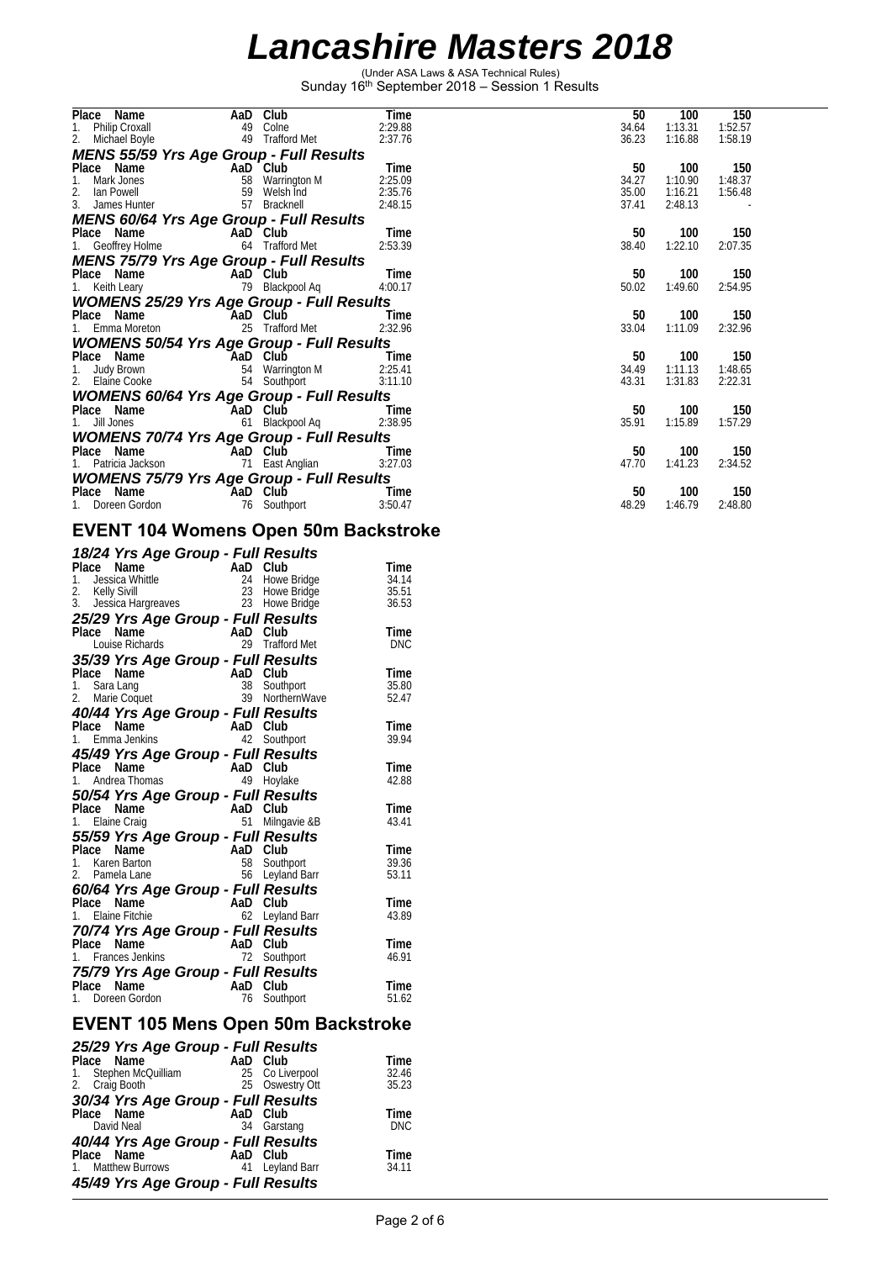(Under ASA Laws & ASA Technical Rules) Sunday 16th September 2018 – Session 1 Results

| Place Name                                                     | AaD | Club                | Time            | 50    | 100            | 150            |  |
|----------------------------------------------------------------|-----|---------------------|-----------------|-------|----------------|----------------|--|
| 1.<br>Philip Croxall                                           | 49  | Colne               | 2:29.88         | 34.64 | 1:13.31        | 1:52.57        |  |
| 2.<br>Michael Boyle                                            |     | 49 Trafford Met     | 2:37.76         | 36.23 | 1:16.88        | 1:58.19        |  |
| <b>MENS 55/59 Yrs Age Group - Full Results</b>                 |     |                     |                 |       |                |                |  |
| Place Name                                                     |     | AaD Club            | Time            | 50    | 100            | 150            |  |
| Mark Jones                                                     | 58  | Warrington M        | 2:25.09         | 34.27 | 1:10.90        | 1:48.37        |  |
| 2.<br>lan Powell                                               | 59  | Welsh Ind           | 2:35.76         | 35.00 | 1:16.21        | 1:56.48        |  |
| 3.<br>James Hunter                                             | 57  | Bracknell           | 2:48.15         | 37.41 | 2:48.13        |                |  |
| <b>MENS 60/64 Yrs Age Group - Full Results</b>                 |     |                     |                 |       |                |                |  |
| Place Name                                                     |     | AaD Club            | Time            | 50    | 100            | 150            |  |
| 1. Geoffrey Holme                                              |     | 64 Trafford Met     | 2:53.39         | 38.40 | 1:22.10        | 2:07.35        |  |
| <b>MENS 75/79 Yrs Age Group - Full Results</b>                 |     |                     |                 |       |                |                |  |
| Place Name                                                     |     | AaD Club            | Time            | 50    | 100            | 150            |  |
| 1. Keith Leary                                                 |     | 79 Blackpool Aq     | 4:00.17         | 50.02 | 1:49.60        | 2:54.95        |  |
| <b>WOMENS 25/29 Yrs Age Group - Full Results</b>               |     |                     |                 |       |                |                |  |
| Place Name                                                     |     | AaD Club            | Time            | 50    | 100            | 150            |  |
| 1. Emma Moreton                                                | 25  | <b>Trafford Met</b> | 2:32.96         | 33.04 | 1:11.09        | 2:32.96        |  |
| <b>WOMENS 50/54 Yrs Age Group - Full Results</b>               |     |                     |                 |       |                |                |  |
| Place Name                                                     |     | AaD Club            | Time            | 50    | 100            | 150            |  |
| Judy Brown<br>1.                                               |     | 54 Warrington M     | 2:25.41         | 34.49 | 1:11.13        | 1:48.65        |  |
| 2. Elaine Cooke                                                |     | 54 Southport        | 3:11.10         | 43.31 | 1:31.83        | 2:22.31        |  |
| <b>WOMENS 60/64 Yrs Age Group - Full Results</b>               |     |                     |                 |       |                |                |  |
| Place Name                                                     |     | AaD Cluḃ            | Time            | 50    | 100            | 150            |  |
| 1. Jill Jones                                                  | 61  | Blackpool Aq        | 2:38.95         | 35.91 | 1:15.89        | 1:57.29        |  |
| <b>WOMENS 70/74 Yrs Age Group - Full Results</b>               |     |                     |                 |       |                |                |  |
| Place Name                                                     |     | AaD Club            | Time            | 50    | 100            | 150            |  |
| 1. Patricia Jackson                                            | 71  | East Anglian        | 3:27.03         | 47.70 | 1:41.23        | 2:34.52        |  |
|                                                                |     |                     |                 |       |                |                |  |
| <b>WOMENS 75/79 Yrs Age Group - Full Results</b><br>Place Name |     |                     |                 | 50    |                |                |  |
| 1.<br>Doreen Gordon                                            |     | AaD Club            | Time<br>3:50.47 | 48.29 | 100<br>1:46.79 | 150<br>2:48.80 |  |
|                                                                |     | 76 Southport        |                 |       |                |                |  |

#### **EVENT 104 Womens Open 50m Backstroke**

|                 |                    | 18/24 Yrs Age Group - Full Results |     |                 |               |
|-----------------|--------------------|------------------------------------|-----|-----------------|---------------|
| Place           | Name               | AaD                                |     | Club            | Time          |
| 1.              | Jessica Whittle    |                                    | 24  | Howe Bridge     | 34.14         |
| 2. Kelly Sivill |                    |                                    | 23  | Howe Bridge     | 35.51         |
| 3.              | Jessica Hargreaves |                                    | 23  | Howe Bridge     | 36.53         |
|                 |                    | 25/29 Yrs Age Group - Full Results |     |                 |               |
| Place Name      |                    |                                    |     | AaD Club        | Time          |
|                 | Louise Richards    |                                    |     | 29 Trafford Met | <b>DNC</b>    |
|                 |                    | 35/39 Yrs Age Group - Full Results |     |                 |               |
| Place Name      |                    | AaD                                |     | Club            | Time          |
| 1.              | Sara Lang          |                                    | 38  | Southport       | 35.80         |
| 2.              | Marie Coquet       |                                    | 39  | NorthernWave    | 52.47         |
|                 |                    | 40/44 Yrs Age Group - Full Results |     |                 |               |
| Place Name      |                    |                                    | AaD | Club            | Time          |
|                 | 1. Emma Jenkins    |                                    | 42  | Southport       | 39.94         |
|                 |                    | 45/49 Yrs Age Group - Full Results |     |                 |               |
| Place           | <b>Name</b>        | AaD                                |     | Club            | Time          |
| 1.              | Andrea Thomas      |                                    | 49  | Hoylake         | 42.88         |
|                 |                    | 50/54 Yrs Age Group - Full Results |     |                 |               |
| Place Name      |                    |                                    |     | AaD Club        | Time          |
| 1. Elaine Craig |                    |                                    | 51  | Milngavie &B    | 43.41         |
|                 |                    | 55/59 Yrs Age Group - Full Results |     |                 |               |
| Place           | Name               | AaD                                |     | Club            | Time          |
| 1. Karen Barton |                    |                                    | 58  | Southport       | 39.36         |
| 2. Pamela Lane  |                    |                                    | 56  | Leyland Barr    | 53.11         |
|                 |                    | 60/64 Yrs Age Group - Full Results |     |                 |               |
| Place Name      |                    |                                    | AaD | Club            | Time          |
|                 | 1. Elaine Fitchie  |                                    | 62  | Leyland Barr    | 43.89         |
|                 |                    | 70/74 Yrs Age Group - Full Results |     |                 |               |
| Place           | Name               | AaD                                |     | Club            | Time          |
|                 | 1. Frances Jenkins |                                    | 72  | Southport       | 46.91         |
|                 |                    |                                    |     |                 |               |
|                 | Name               | 75/79 Yrs Age Group - Full Results | AaD | Club            |               |
| Place           | Doreen Gordon      |                                    | 76  | Southport       | Time<br>51.62 |
|                 |                    |                                    |     |                 |               |
|                 |                    |                                    |     |                 |               |

#### **EVENT 105 Mens Open 50m Backstroke**

| 25/29 Yrs Age Group - Full Results |                 |            |
|------------------------------------|-----------------|------------|
| Place Name                         | AaD Club        | Time       |
| 1. Stephen McQuilliam              | 25 Co Liverpool | 32.46      |
| 2. Craig Booth                     | 25 Oswestry Ott | 35.23      |
| 30/34 Yrs Age Group - Full Results |                 |            |
| Place Name                         | AaD Club        | Time       |
| David Neal                         | 34 Garstang     | <b>DNC</b> |
| 40/44 Yrs Age Group - Full Results |                 |            |
| Place Name                         | AaD Club        | Time       |
| 1. Matthew Burrows                 | 41 Leyland Barr | 34.11      |
| 45/49 Yrs Age Group - Full Results |                 |            |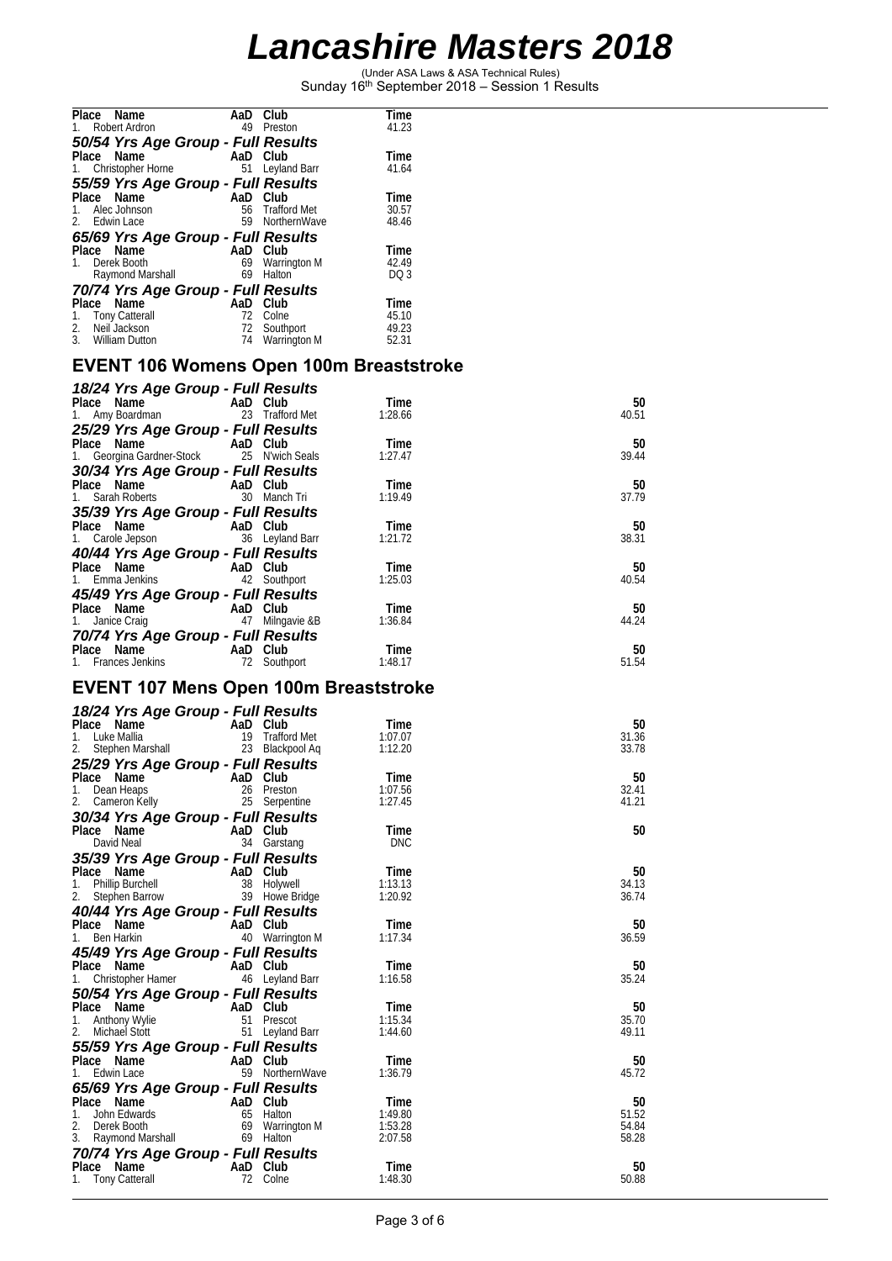(Under ASA Laws & ASA Technical Rules) Sunday 16th September 2018 – Session 1 Results

| Place<br>Name                      | AaD | Club                | Time            |
|------------------------------------|-----|---------------------|-----------------|
| <b>Robert Ardron</b>               | 49  | Preston             | 41.23           |
| 50/54 Yrs Age Group - Full Results |     |                     |                 |
| Place Name                         |     | AaD Club            | Time            |
| 1. Christopher Horne               | 51  | Leyland Barr        | 41.64           |
| 55/59 Yrs Age Group - Full Results |     |                     |                 |
| Place Name                         | AaD | Club                | Time            |
| Alec Johnson<br>1.                 | 56  | <b>Trafford Met</b> | 30.57           |
| 2. Edwin Lace                      | 59  | NorthernWave        | 48.46           |
| 65/69 Yrs Age Group - Full Results |     |                     |                 |
| Place<br>Name                      | AaD | Club                | Time            |
| Derek Booth<br>1.                  | 69  | <b>Warrington M</b> | 42.49           |
| Raymond Marshall                   | 69  | Halton              | DQ <sub>3</sub> |
| 70/74 Yrs Age Group - Full Results |     |                     |                 |
| Place<br>Name                      | AaD | Club                | Time            |
| <b>Tony Catterall</b><br>1.        | 72  | Colne               | 45.10           |
| Neil Jackson<br>2.                 | 72  | Southport           | 49.23           |
| 3.<br>William Dutton               | 74  | Warrington M        | 52.31           |
|                                    |     |                     |                 |

#### **EVENT 106 Womens Open 100m Breaststroke**

| 18/24 Yrs Age Group - Full Results                          |                    |         |       |
|-------------------------------------------------------------|--------------------|---------|-------|
| Place Name                                                  | and AaD Club       | Time    | 50    |
| 1. Amy Boardman                                             | 23 Trafford Met    | 1:28.66 | 40.51 |
| 25/29 Yrs Age Group - Full Results                          |                    |         |       |
| Place Name                                                  | AaD Club           | Time    | 50    |
| 1. Georgina Gardner-Stock 25 N'wich Seals                   |                    | 1:27.47 | 39.44 |
| 30/34 Yrs Age Group - Full Results                          |                    |         |       |
| Place Name AaD Club                                         |                    | Time    | 50    |
| 1. Sarah Roberts                                            | 30<br>Manch Tri    | 1:19.49 | 37.79 |
| 35/39 Yrs Age Group - Full Results                          |                    |         |       |
| Place Name AaD Club                                         |                    | Time    | 50    |
| 1. Carole Jepson 36 Leyland Barr                            |                    | 1:21.72 | 38.31 |
|                                                             |                    |         |       |
| 40/44 Yrs Age Group - Full Results<br>Place Name - AaD Club |                    | Time    | 50    |
| 1. Emma Jenkins 42 Southport                                |                    | 1:25.03 | 40.54 |
| 45/49 Yrs Age Group - Full Results                          |                    |         |       |
| Place Name AaD Club                                         |                    | Time    | 50    |
| 1. Janice Craig                                             | 47<br>Milngavie &B | 1:36.84 | 44.24 |
| 70/74 Yrs Age Group - Full Results                          |                    |         |       |
| Place Name                                                  | AaD Club           | Time    | 50    |
| 1. Frances Jenkins 72 Southport                             |                    | 1:48.17 | 51.54 |

### **EVENT 107 Mens Open 100m Breaststroke**

| 18/24 Yrs Age Group - Full Results |          |                 |            |       |
|------------------------------------|----------|-----------------|------------|-------|
| Place Name                         | AaD Club |                 | Time       | 50    |
| Luke Mallia<br>$1_{\cdot}$         |          | 19 Trafford Met | 1:07.07    | 31.36 |
| 2.<br>Stephen Marshall             |          | 23 Blackpool Aq | 1:12.20    | 33.78 |
| 25/29 Yrs Age Group - Full Results |          |                 |            |       |
| Place Name                         | AaD Club |                 | Time       | 50    |
| Dean Heaps<br>1.                   |          | 26 Preston      | 1:07.56    | 32.41 |
| 2.<br>Cameron Kelly                |          | 25 Serpentine   | 1:27.45    | 41.21 |
| 30/34 Yrs Age Group - Full Results |          |                 |            |       |
| Place Name                         | AaD Club |                 | Time       | 50    |
| David Neal                         |          | 34 Garstang     | <b>DNC</b> |       |
| 35/39 Yrs Age Group - Full Results |          |                 |            |       |
| Place Name                         | AaD Club |                 | Time       | 50    |
| <b>Phillip Burchell</b><br>1.      |          | 38 Holywell     | 1:13.13    | 34.13 |
| 2.<br>Stephen Barrow               |          | 39 Howe Bridge  | 1:20.92    | 36.74 |
| 40/44 Yrs Age Group - Full Results |          |                 |            |       |
| Place Name                         | AaD Club |                 | Time       | 50    |
| $1_{\cdot}$<br>Ben Harkin          |          | 40 Warrington M | 1:17.34    | 36.59 |
| 45/49 Yrs Age Group - Full Results |          |                 |            |       |
| Place Name                         | AaD Club |                 | Time       | 50    |
| Christopher Hamer<br>1.            |          | 46 Leyland Barr | 1:16.58    | 35.24 |
| 50/54 Yrs Age Group - Full Results |          |                 |            |       |
| Place Name                         | AaD Club |                 | Time       | 50    |
| <b>Anthony Wylie</b>               | 51       | Prescot         | 1:15.34    | 35.70 |
| Michael Stott<br>2.                |          | 51 Leyland Barr | 1:44.60    | 49.11 |
| 55/59 Yrs Age Group - Full Results |          |                 |            |       |
| Place Name                         | AaD Club |                 | Time       | 50    |
| Edwin Lace                         |          | 59 NorthernWave | 1:36.79    | 45.72 |
| 65/69 Yrs Age Group - Full Results |          |                 |            |       |
| Place Name                         | AaD Club |                 | Time       | 50    |
| John Edwards<br>$1_{\cdot}$        |          | 65 Halton       | 1:49.80    | 51.52 |
| 2.<br>Derek Booth                  |          | 69 Warrington M | 1:53.28    | 54.84 |
| 3. Raymond Marshall                |          | 69 Halton       | 2:07.58    | 58.28 |
| 70/74 Yrs Age Group - Full Results |          |                 |            |       |
| Place Name                         | AaD Club |                 | Time       | 50    |
| 1. Tony Catterall                  |          | 72 Colne        | 1:48.30    | 50.88 |
|                                    |          |                 |            |       |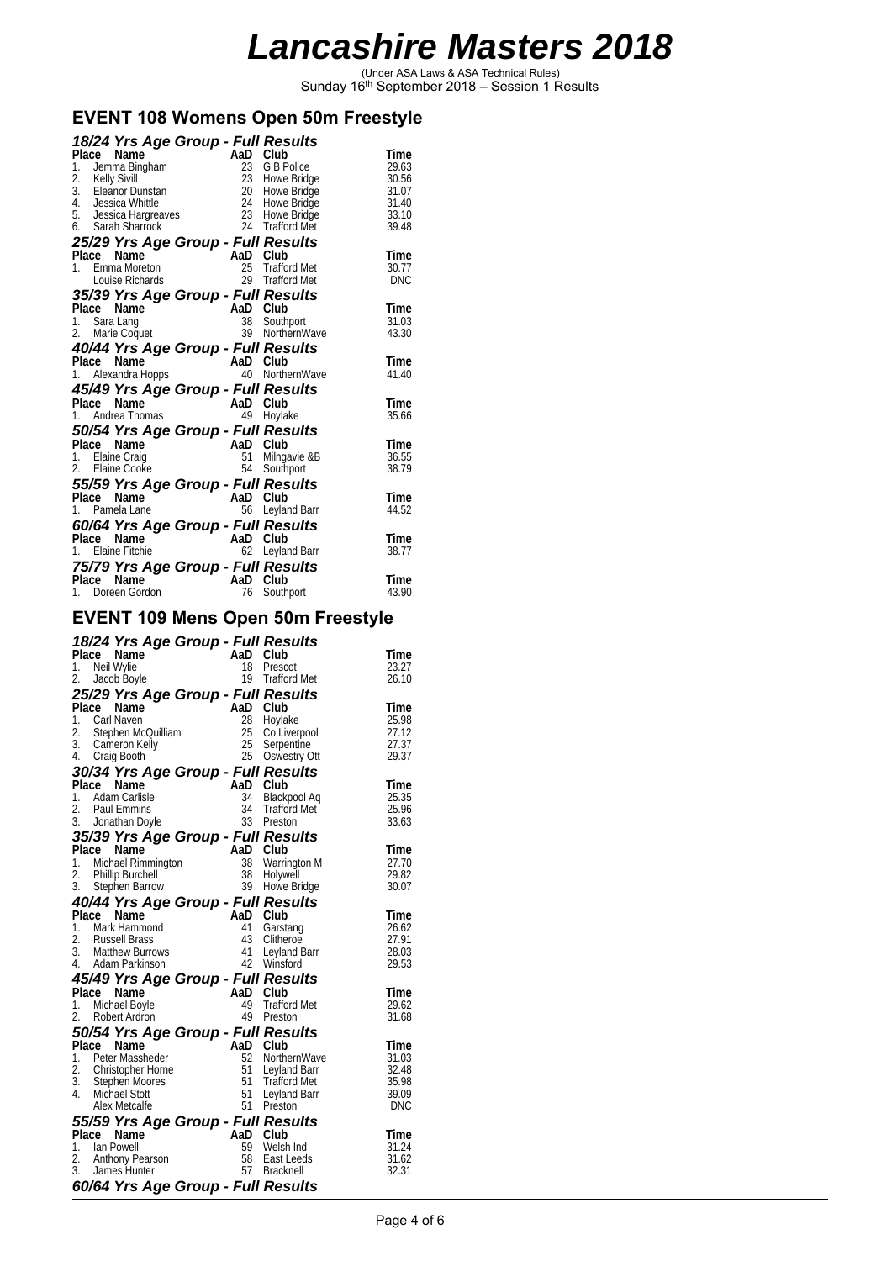(Under ASA Laws & ASA Technical Rules) Sunday 16th September 2018 – Session 1 Results

### **EVENT 108 Womens Open 50m Freestyle**

| 18/24 Yrs Age Group - Full Results                  |          |                            |                |
|-----------------------------------------------------|----------|----------------------------|----------------|
| Place<br>Name                                       | AaD      | Club                       | Time           |
| 1.<br>Jemma Bingham                                 | 23       | G B Police                 | 29.63          |
| 2.<br>Kelly Sivill<br>3.<br>Eleanor Dunstan         | 23<br>20 | Howe Bridge<br>Howe Bridge | 30.56<br>31.07 |
| 4. Jessica Whittle                                  | 24       | Howe Bridge                | 31.40          |
| 5. Jessica Hargreaves                               | 23       | Howe Bridge                | 33.10          |
| 6. Sarah Sharrock                                   | 24       | <b>Trafford Met</b>        | 39.48          |
| 25/29 Yrs Age Group - Full Results                  |          |                            |                |
| Place Name                                          | AaD Club |                            | Time           |
| 1. Emma Moreton                                     | 25       | <b>Trafford Met</b>        | 30.77          |
| Louise Richards                                     | 29       | <b>Trafford Met</b>        | <b>DNC</b>     |
| 35/39 Yrs Age Group - Full Results<br>Place         | AaD      | Club                       |                |
| Name<br>Sara Lang<br>1.                             | 38       | Southport                  | Time<br>31.03  |
| 2.<br>Marie Coquet                                  | 39       | NorthernWave               | 43.30          |
| 40/44 Yrs Age Group - Full Results                  |          |                            |                |
| Place Name                                          | AaD Club |                            | Time           |
| 1. Alexandra Hopps                                  | 40       | NorthernWave               | 41.40          |
| 45/49 Yrs Age Group - Full Results                  |          |                            |                |
| Place<br>Name                                       | AaD      | Club                       | Time           |
| Andrea Thomas<br>1.                                 | 49       | Hoylake                    | 35.66          |
| 50/54 Yrs Age Group - Full Results                  |          |                            |                |
| Place<br>Name                                       | AaD      | Club                       | Time           |
| Elaine Craig<br>1.<br>2.                            | 51       | Milngavie &B               | 36.55          |
| Elaine Cooke                                        | 54       | Southport                  | 38.79          |
| 55/59 Yrs Age Group - Full Results<br>Place<br>Name | AaD      | Club                       | Time           |
| 1.<br>Pamela Lane                                   | 56       | Leyland Barr               | 44.52          |
|                                                     |          |                            |                |
| 60/64 Yrs Age Group - Full Results<br>Place<br>Name | AaD      | Club                       | Time           |
| Elaine Fitchie                                      | 62       | Leyland Barr               | 38.77          |
| 75/79 Yrs Age Group - Full Results                  |          |                            |                |
| Place Name                                          | AaD Club |                            | Time           |
| Doreen Gordon<br>1.                                 | 76       | Southport                  | 43.90          |

#### **EVENT 109 Mens Open 50m Freestyle**

|          | 18/24 Yrs Age Group - Full Results                                                      |                |                                 |                |
|----------|-----------------------------------------------------------------------------------------|----------------|---------------------------------|----------------|
|          | Place Name                                                                              | AaD Club       |                                 | Time           |
| 1.<br>2. | Neil Wylie<br>Jacob Boyle                                                               | 18             | Prescot<br>19 Trafford Met      | 23.27<br>26.10 |
|          |                                                                                         |                |                                 |                |
|          | 25/29 Yrs Age Group - Full Results                                                      | AaD Club       |                                 |                |
|          | Place Name<br>1. Carl Naven                                                             | 28             | Hoylake                         | Time<br>25.98  |
|          | Stephen McQuilliam                                                                      | 25             | Co Liverpool                    | 27.12          |
|          |                                                                                         | 25             | Serpentine                      | 27.37          |
|          | 2. Stepnen<br>3. Cameron Kelly<br>2019 Booth<br>4. Craig Booth                          | 25             | Oswestry Ott                    | 29.37          |
|          | 30/34 Yrs Age Group - Full Results                                                      |                |                                 |                |
|          | Place Name                                                                              | AaD Club       |                                 | Time           |
|          | 1. Adam Carlisle                                                                        | 34             | Blackpool Aq                    | 25.35          |
| 2.       | <b>Paul Emmins</b>                                                                      | 34             | Trafford Met                    | 25.96          |
|          | 3. Jonathan Doyle                                                                       |                | 33 Preston                      | 33.63          |
|          | 35/39 Yrs Age Group - Full Results                                                      |                |                                 |                |
|          | Place Name                                                                              | AaD Club       |                                 | Time           |
|          | 1. Michael Rimmington                                                                   | 38<br>38       | <b>Warrington M</b><br>Holywell | 27.70<br>29.82 |
|          | 2. Phillip Burchell<br>3. Stephen Barrov<br><b>Stephen Barrow</b>                       | 39             | Howe Bridge                     | 30.07          |
|          | 40/44 Yrs Age Group - Full Results                                                      |                |                                 |                |
| Place    | Name                                                                                    | AaD            | Club                            | Time           |
|          | 1. Mark Hammond                                                                         | 41             | Garstang                        | 26.62          |
|          | 2. Russell Brass                                                                        | 43             | Clitheroe                       | 27.91          |
|          | 3. Matthew Burrows                                                                      | 41             | Leyland Barr                    | 28.03          |
|          | 4. Adam Parkinson                                                                       |                | 42 Winsford                     | 29.53          |
|          | 45/49 Yrs Age Group - Full Results                                                      |                |                                 |                |
| Place    | Name                                                                                    | AaD Club       |                                 | Time           |
|          | 1. Michael Boyle                                                                        | 49             | <b>Trafford Met</b>             | 29.62          |
| 2.       | Robert Ardron                                                                           | 49             | Preston                         | 31.68          |
|          | 50/54 Yrs Age Group - Full Results                                                      |                |                                 |                |
| Place    | Name                                                                                    | AaD Club<br>52 | NorthernWave                    | Time<br>31.03  |
|          | 1. Peter Massheder<br>2. Christopher Horne<br>3. Stephen Moores                         | 51             | Leyland Barr                    | 32.48          |
|          |                                                                                         | 51             | <b>Trafford Met</b>             | 35.98          |
|          | 4. Michael Stott                                                                        | 51             | Leyland Barr                    | 39.09          |
|          | Alex Metcalfe                                                                           | 51             | Preston                         | <b>DNC</b>     |
|          | 55/59 Yrs Age Group - Full Results                                                      |                |                                 |                |
|          | Place Name $\frac{1}{2}$ A.<br>1. Ian Powel<br>2. Anthony Pearson<br>2. Anthony Pearson | AaD            | Club                            | Time           |
|          |                                                                                         | 59             | Welsh Ind                       | 31.24          |
|          |                                                                                         | 58             | East Leeds                      | 31.62          |
| 3.       | James Hunter                                                                            | 57             | <b>Bracknell</b>                | 32.31          |
|          | 60/64 Yrs Age Group - Full Results                                                      |                |                                 |                |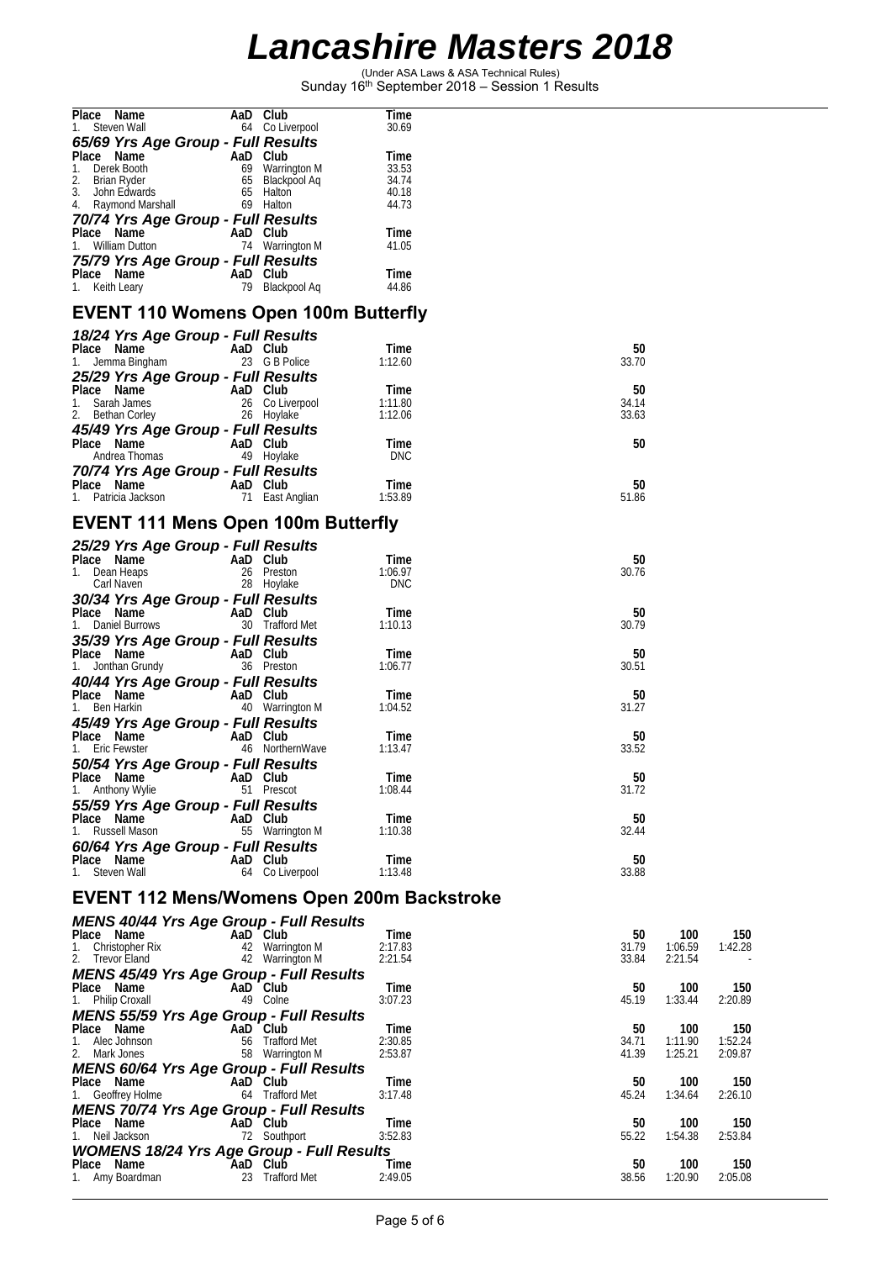(Under ASA Laws & ASA Technical Rules) Sunday 16th September 2018 – Session 1 Results

**Place Name AaD Club Time** 

| 1. Steven Wall                                                 | 64 Co Liverpool                                              | 30.69                                      |                |                                          |
|----------------------------------------------------------------|--------------------------------------------------------------|--------------------------------------------|----------------|------------------------------------------|
| 65/69 Yrs Age Group - Full Results                             |                                                              |                                            |                |                                          |
| Place Name<br>Derek Booth<br>1.                                | AaD Club<br>69 Warrington M<br>65 Blackpool Aq<br>65 Halting | Time<br>33.53                              |                |                                          |
| 2.<br>Brian Ryder                                              |                                                              | 34.74                                      |                |                                          |
| 3.<br>John Edwards                                             | 65 Halton                                                    | 40.18                                      |                |                                          |
| 4. Raymond Marshall                                            | 69 Halton                                                    | 44.73                                      |                |                                          |
| 70/74 Yrs Age Group - Full Results                             |                                                              |                                            |                |                                          |
| Place Name                                                     | $AaD$ Club                                                   | Time                                       |                |                                          |
| 1. William Dutton                                              | 74 Warrington M                                              | 41.05                                      |                |                                          |
| 75/79 Yrs Age Group - Full Results                             | AaD Club                                                     | Time                                       |                |                                          |
| Place Name<br>1. Keith Leary                                   | 79 Blackpool Aq                                              | 44.86                                      |                |                                          |
| <b>EVENT 110 Womens Open 100m Butterfly</b>                    |                                                              |                                            |                |                                          |
| 18/24 Yrs Age Group - Full Results                             |                                                              |                                            |                |                                          |
| Place Name                                                     | AaD Club                                                     | Time                                       | 50             |                                          |
| 1. Jemma Bingham                                               | 23 G B Police                                                | 1:12.60                                    | 33.70          |                                          |
| 25/29 Yrs Age Group - Full Results                             |                                                              |                                            | 50             |                                          |
| Place Name AaD Club<br>1. Sarah James                          | 26 Co Liverpool                                              | Time<br>1:11.80                            | 34.14          |                                          |
| 2. Bethan Corley                                               | 26 Hoylake                                                   | 1:12.06                                    | 33.63          |                                          |
| 45/49 Yrs Age Group - Full Results                             |                                                              |                                            |                |                                          |
| Place Name                                                     | - AaD Club                                                   | Time                                       | 50             |                                          |
| Andrea Thomas                                                  | 49 Hoylake                                                   | <b>DNC</b>                                 |                |                                          |
| 70/74 Yrs Age Group - Full Results<br>Place Name               | AaD Club                                                     | Time                                       | 50             |                                          |
| 1. Patricia Jackson                                            | 71 East Anglian                                              | 1:53.89                                    | 51.86          |                                          |
|                                                                |                                                              |                                            |                |                                          |
| <b>EVENT 111 Mens Open 100m Butterfly</b>                      |                                                              |                                            |                |                                          |
| 25/29 Yrs Age Group - Full Results<br>Place Name               | AaD Club                                                     | Time                                       | 50             |                                          |
| 1. Dean Heaps                                                  | 26 Preston                                                   | 1:06.97                                    | 30.76          |                                          |
| Carl Naven                                                     | 28 Hoylake                                                   | <b>DNC</b>                                 |                |                                          |
| 30/34 Yrs Age Group - Full Results                             |                                                              |                                            |                |                                          |
| Place Name                                                     | AaD Club                                                     | Time                                       | 50             |                                          |
| 1. Daniel Burrows<br>35/39 Yrs Age Group - Full Results        | 30 Trafford Met                                              | 1:10.13                                    | 30.79          |                                          |
| Place Name                                                     | AaD Club                                                     | Time                                       | 50             |                                          |
| Jonthan Grundy<br>1.                                           | 36 Preston                                                   | 1:06.77                                    | 30.51          |                                          |
| 40/44 Yrs Age Group - Full Results                             |                                                              |                                            |                |                                          |
| Place Name                                                     | AaD Club                                                     | Time                                       | 50             |                                          |
| Ben Harkin<br>1.                                               | 40 Warrington M                                              | 1:04.52                                    | 31.27          |                                          |
| 45/49 Yrs Age Group - Full Results<br>Place Name               | AaD Club                                                     | Time                                       | 50             |                                          |
| 1. Eric Fewster                                                | 46 NorthernWave                                              | 1:13.47                                    | 33.52          |                                          |
| 50/54 Yrs Age Group - Full Results                             |                                                              |                                            |                |                                          |
| Place Name                                                     | AaD Club                                                     | Time                                       | 50             |                                          |
| 1. Anthony Wylie                                               | 51 Prescot                                                   | 1:08.44                                    | 31.72          |                                          |
| 55/59 Yrs Age Group - Full Results                             |                                                              |                                            |                |                                          |
| Place Name<br>Russell Mason<br>1.                              | AaD Club<br>55 Warrington M                                  | Time<br>1:10.38                            | 50<br>32.44    |                                          |
| 60/64 Yrs Age Group - Full Results                             |                                                              |                                            |                |                                          |
| Place Name                                                     | AaD Club                                                     | Time                                       | 50             |                                          |
| 1. Steven Wall                                                 | 64 Co Liverpool                                              | 1:13.48                                    | 33.88          |                                          |
|                                                                |                                                              | EVENT 112 Mens/Womens Open 200m Backstroke |                |                                          |
| <b>MENS 40/44 Yrs Age Group - Full Results</b>                 |                                                              |                                            |                |                                          |
| Place Name                                                     | AaD Club                                                     | Time                                       | 50             | 100<br>150                               |
| 1. Christopher Rix<br>2. Trevor Eland                          | 42 Warrington M<br>42 Warrington M                           | 2:17.83<br>2:21.54                         | 31.79<br>33.84 | 1:06.59<br>1:42.28<br>2:21.54            |
| <b>MENS 45/49 Yrs Age Group - Full Results</b>                 |                                                              |                                            |                |                                          |
| Place Name                                                     | AaD Club                                                     | Time                                       | 50             | 100<br>150                               |
| 1. Philip Croxall                                              | 49 Colne                                                     | 3:07.23                                    | 45.19          | 1:33.44<br>2:20.89                       |
| <b>MENS 55/59 Yrs Age Group - Full Results</b>                 |                                                              |                                            |                |                                          |
| Place Name                                                     | AaD Club                                                     | Time                                       | 50             | 100<br>150                               |
| 1. Alec Johnson<br>2. Mark Jones                               | 56 Trafford Met<br>58 Warrington M                           | 2:30.85<br>2:53.87                         | 34.71<br>41.39 | 1:52.24<br>1:11.90<br>1:25.21<br>2:09.87 |
| <b>MENS 60/64 Yrs Age Group - Full Results</b>                 |                                                              |                                            |                |                                          |
| Place Name                                                     | AaD Club                                                     | Time                                       | 50             | 100<br>150                               |
| 1. Geoffrey Holme                                              | 64 Trafford Met                                              | 3:17.48                                    | 45.24          | 1:34.64<br>2:26.10                       |
| <b>MENS 70/74 Yrs Age Group - Full Results</b>                 |                                                              |                                            |                |                                          |
| Place Name                                                     | AaD Club                                                     | Time                                       | 50             | 100<br>150                               |
| 1. Neil Jackson                                                | 72 Southport                                                 | 3:52.83                                    | 55.22          | 1:54.38<br>2:53.84                       |
| <b>WOMENS 18/24 Yrs Age Group - Full Results</b><br>Place Name | AaD Club                                                     | Time                                       | 50             | 100<br>150                               |
| 1. Amy Boardman                                                | 23 Trafford Met                                              | 2:49.05                                    | 38.56          | 1:20.90<br>2:05.08                       |
|                                                                |                                                              |                                            |                |                                          |